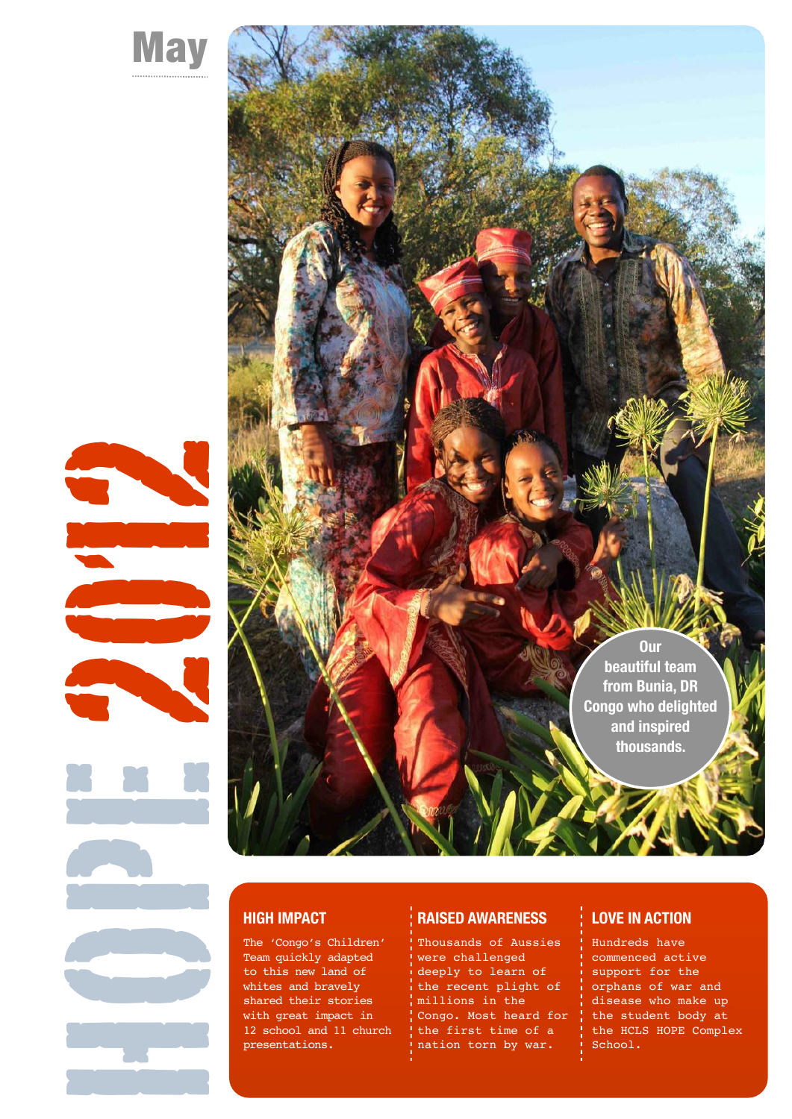





### **HIGH IMPACT**

The 'Congo's Children' Team quickly adapted to this new land of whites and bravely shared their stories with great impact in 12 school and 11 church presentations.

#### **RAISED AWARENESS**

Thousands of Aussies were challenged deeply to learn of the recent plight of millions in the Congo. Most heard for the first time of a nation torn by war.

### **LOVE IN ACTION**

Hundreds have commenced active support for the orphans of war and disease who make up the student body at the HCLS HOPE Complex School.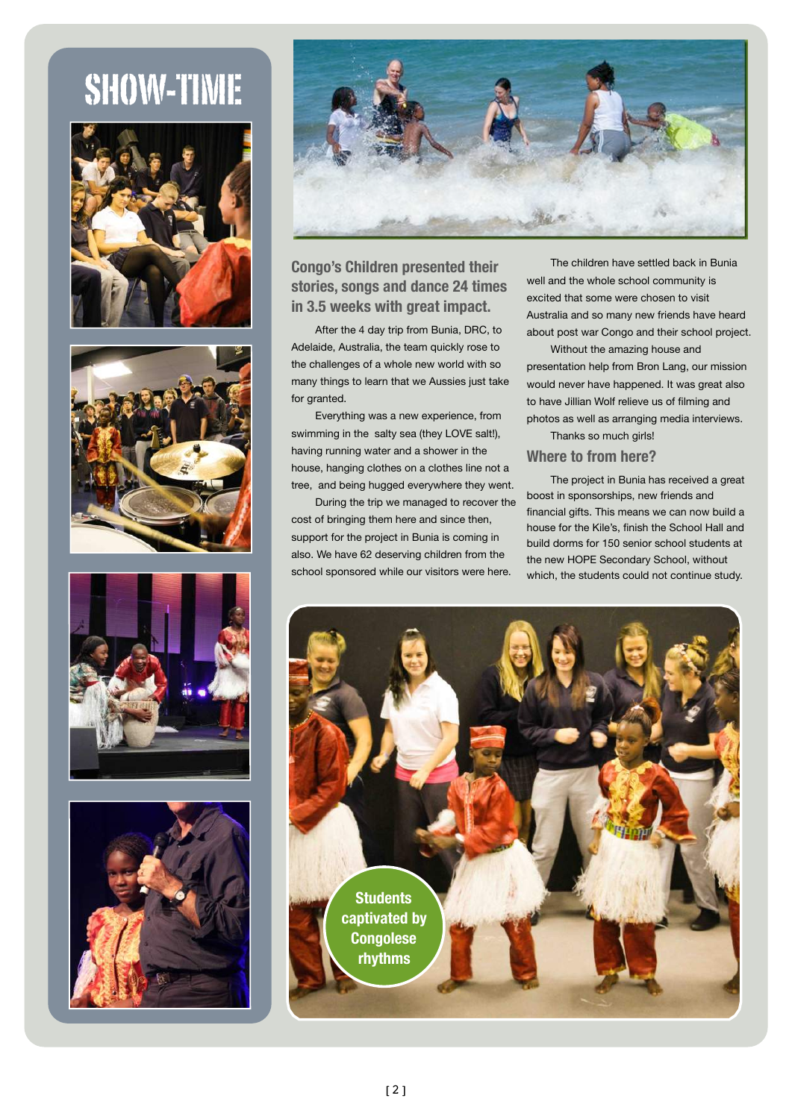## SHOW-TIME











### **Congo's Children presented their stories, songs and dance 24 times in 3.5 weeks with great impact.**

After the 4 day trip from Bunia, DRC, to Adelaide, Australia, the team quickly rose to the challenges of a whole new world with so many things to learn that we Aussies just take for granted.

Everything was a new experience, from swimming in the salty sea (they LOVE salt!), having running water and a shower in the house, hanging clothes on a clothes line not a tree, and being hugged everywhere they went.

During the trip we managed to recover the cost of bringing them here and since then, support for the project in Bunia is coming in also. We have 62 deserving children from the school sponsored while our visitors were here.

The children have settled back in Bunia well and the whole school community is excited that some were chosen to visit Australia and so many new friends have heard about post war Congo and their school project.

Without the amazing house and presentation help from Bron Lang, our mission would never have happened. It was great also to have Jillian Wolf relieve us of filming and photos as well as arranging media interviews. Thanks so much girls!

### **Where to from here?**

The project in Bunia has received a great boost in sponsorships, new friends and financial gifts. This means we can now build a house for the Kile's, finish the School Hall and build dorms for 150 senior school students at the new HOPE Secondary School, without which, the students could not continue study.

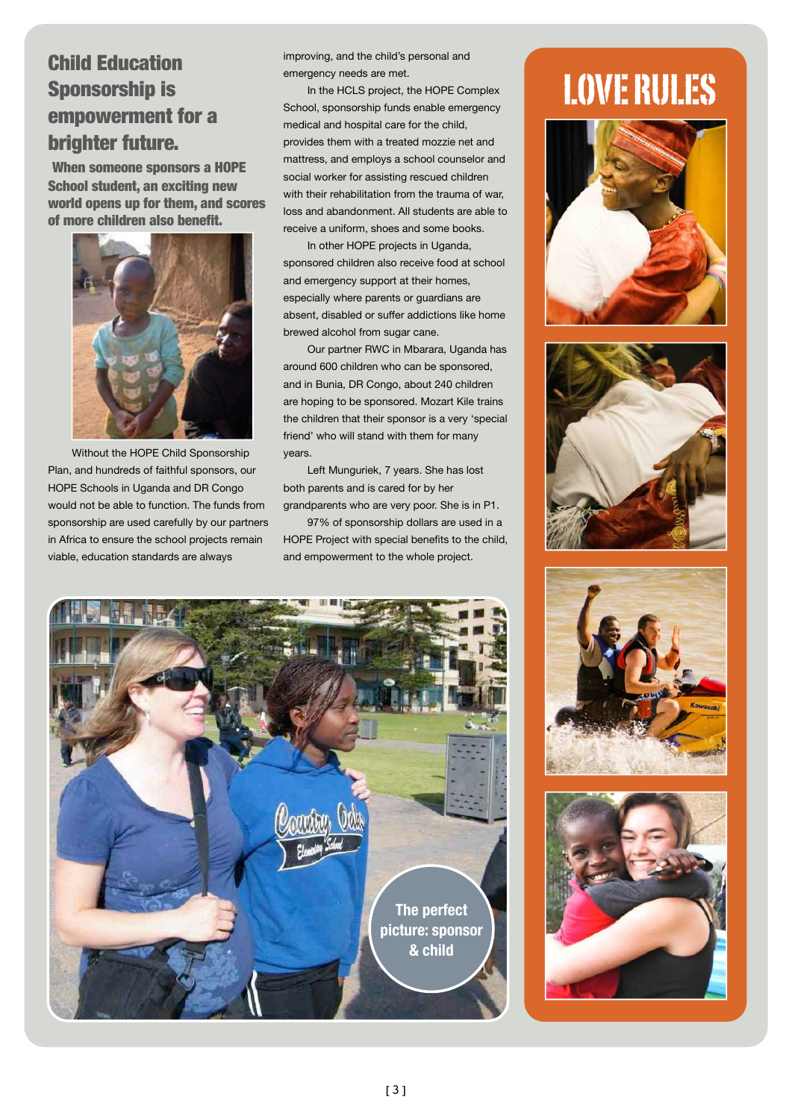### Child Education Sponsorship is empowerment for a brighter future.

When someone sponsors a HOPE School student, an exciting new world opens up for them, and scores of more children also benefit.



Without the HOPE Child Sponsorship Plan, and hundreds of faithful sponsors, our HOPE Schools in Uganda and DR Congo would not be able to function. The funds from sponsorship are used carefully by our partners in Africa to ensure the school projects remain viable, education standards are always

improving, and the child's personal and emergency needs are met.

In the HCLS project, the HOPE Complex School, sponsorship funds enable emergency medical and hospital care for the child, provides them with a treated mozzie net and mattress, and employs a school counselor and social worker for assisting rescued children with their rehabilitation from the trauma of war, loss and abandonment. All students are able to receive a uniform, shoes and some books.

In other HOPE projects in Uganda, sponsored children also receive food at school and emergency support at their homes, especially where parents or guardians are absent, disabled or suffer addictions like home brewed alcohol from sugar cane.

Our partner RWC in Mbarara, Uganda has around 600 children who can be sponsored, and in Bunia, DR Congo, about 240 children are hoping to be sponsored. Mozart Kile trains the children that their sponsor is a very 'special friend' who will stand with them for many years.

Left Munguriek, 7 years. She has lost both parents and is cared for by her grandparents who are very poor. She is in P1.

97% of sponsorship dollars are used in a HOPE Project with special benefits to the child, and empowerment to the whole project.



# LOVE RULES







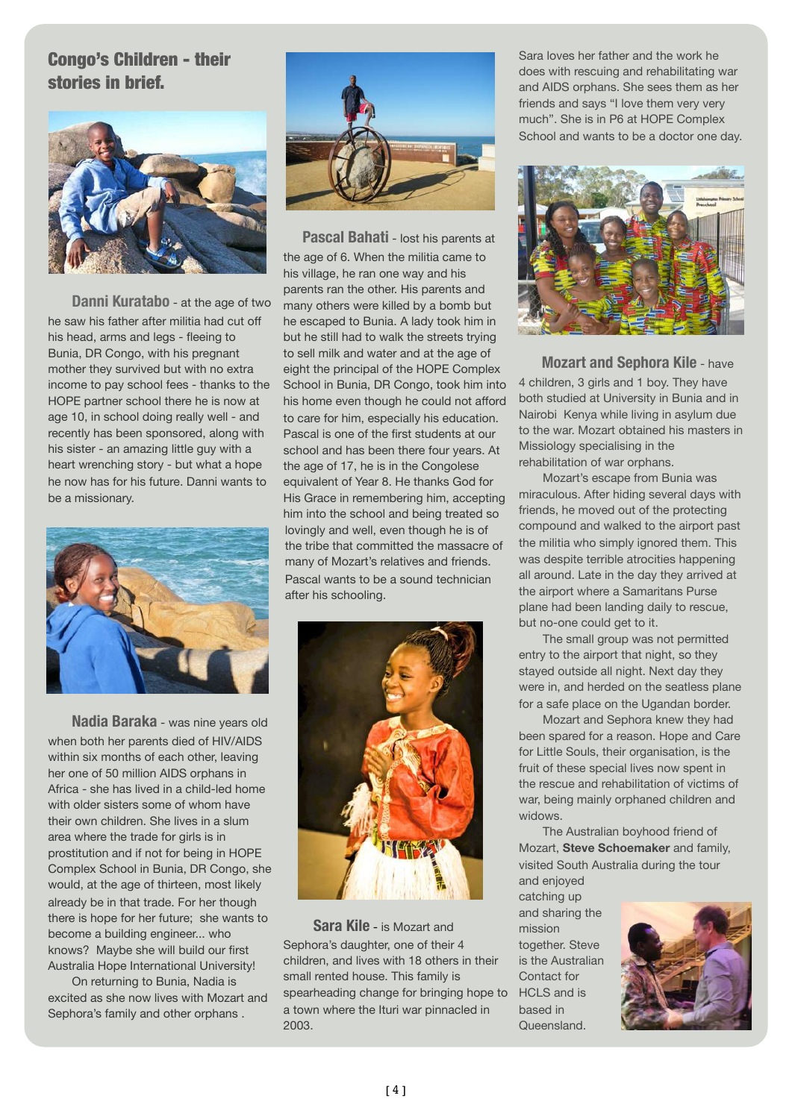### Congo's Children - their stories in brief.



**Danni Kuratabo** - at the age of two he saw his father after militia had cut off his head, arms and legs - fleeing to Bunia, DR Congo, with his pregnant mother they survived but with no extra income to pay school fees - thanks to the HOPE partner school there he is now at age 10, in school doing really well - and recently has been sponsored, along with his sister - an amazing little guy with a heart wrenching story - but what a hope he now has for his future. Danni wants to be a missionary.



**Nadia Baraka** - was nine years old when both her parents died of HIV/AIDS within six months of each other, leaving her one of 50 million AIDS orphans in Africa - she has lived in a child-led home with older sisters some of whom have their own children. She lives in a slum area where the trade for girls is in prostitution and if not for being in HOPE Complex School in Bunia, DR Congo, she would, at the age of thirteen, most likely already be in that trade. For her though there is hope for her future; she wants to become a building engineer... who knows? Maybe she will build our first Australia Hope International University!

On returning to Bunia, Nadia is excited as she now lives with Mozart and Sephora's family and other orphans .



 **Pascal Bahati** - lost his parents at the age of 6. When the militia came to his village, he ran one way and his parents ran the other. His parents and many others were killed by a bomb but he escaped to Bunia. A lady took him in but he still had to walk the streets trying to sell milk and water and at the age of eight the principal of the HOPE Complex School in Bunia, DR Congo, took him into his home even though he could not afford to care for him, especially his education. Pascal is one of the first students at our school and has been there four years. At the age of 17, he is in the Congolese equivalent of Year 8. He thanks God for His Grace in remembering him, accepting him into the school and being treated so lovingly and well, even though he is of the tribe that committed the massacre of many of Mozart's relatives and friends. Pascal wants to be a sound technician after his schooling.



 **Sara Kile** - is Mozart and Sephora's daughter, one of their 4 children, and lives with 18 others in their small rented house. This family is spearheading change for bringing hope to a town where the Ituri war pinnacled in 2003.

Sara loves her father and the work he does with rescuing and rehabilitating war and AIDS orphans. She sees them as her friends and says "I love them very very much". She is in P6 at HOPE Complex School and wants to be a doctor one day.



 **Mozart and Sephora Kile** - have 4 children, 3 girls and 1 boy. They have both studied at University in Bunia and in Nairobi Kenya while living in asylum due to the war. Mozart obtained his masters in Missiology specialising in the rehabilitation of war orphans.

Mozart's escape from Bunia was miraculous. After hiding several days with friends, he moved out of the protecting compound and walked to the airport past the militia who simply ignored them. This was despite terrible atrocities happening all around. Late in the day they arrived at the airport where a Samaritans Purse plane had been landing daily to rescue, but no-one could get to it.

The small group was not permitted entry to the airport that night, so they stayed outside all night. Next day they were in, and herded on the seatless plane for a safe place on the Ugandan border.

Mozart and Sephora knew they had been spared for a reason. Hope and Care for Little Souls, their organisation, is the fruit of these special lives now spent in the rescue and rehabilitation of victims of war, being mainly orphaned children and widows.

The Australian boyhood friend of Mozart, **Steve Schoemaker** and family, visited South Australia during the tour and enjoyed

catching up and sharing the mission together. Steve is the Australian Contact for HCLS and is based in Queensland.

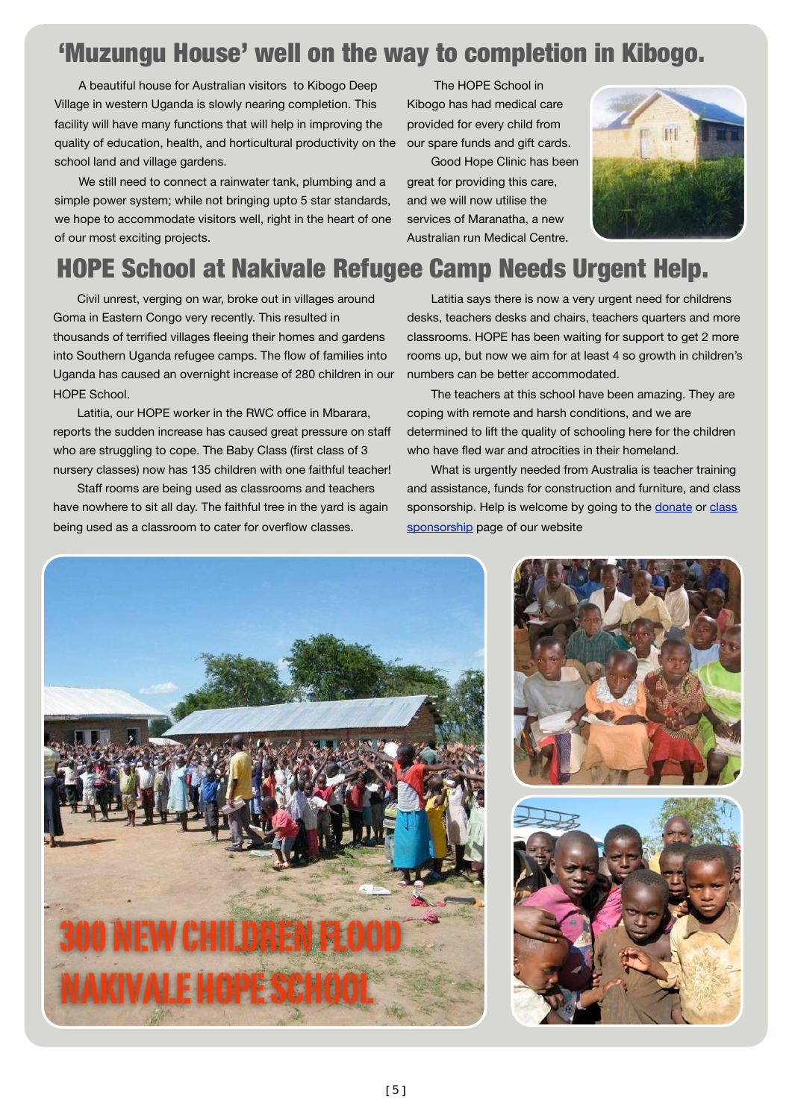## 'Muzungu House' well on the way to completion in Kibogo.

A beautiful house for Australian visitors to Kibogo Deep Village in western Uganda is slowly nearing completion. This facility will have many functions that will help in improving the quality of education, health, and horticultural productivity on the school land and village gardens.

We still need to connect a rainwater tank, plumbing and a simple power system; while not bringing upto 5 star standards, we hope to accommodate visitors well, right in the heart of one of our most exciting projects.

 The HOPE School in Kibogo has had medical care provided for every child from our spare funds and gift cards.

Good Hope Clinic has been great for providing this care, and we will now utilise the services of Maranatha, a new Australian run Medical Centre.



## HOPE School at Nakivale Refugee Camp Needs Urgent Help.

Civil unrest, verging on war, broke out in villages around Goma in Eastern Congo very recently. This resulted in thousands of terrified villages fleeing their homes and gardens into Southern Uganda refugee camps. The flow of families into Uganda has caused an overnight increase of 280 children in our HOPE School.

Latitia, our HOPE worker in the RWC office in Mbarara, reports the sudden increase has caused great pressure on staff who are struggling to cope. The Baby Class (first class of 3 nursery classes) now has 135 children with one faithful teacher!

Staff rooms are being used as classrooms and teachers have nowhere to sit all day. The faithful tree in the yard is again being used as a classroom to cater for overflow classes.

Latitia says there is now a very urgent need for childrens desks, teachers desks and chairs, teachers quarters and more classrooms. HOPE has been waiting for support to get 2 more rooms up, but now we aim for at least 4 so growth in children's numbers can be better accommodated.

The teachers at this school have been amazing. They are coping with remote and harsh conditions, and we are determined to lift the quality of schooling here for the children who have fled war and atrocities in their homeland.

What is urgently needed from Australia is teacher training and assistance, funds for construction and furniture, and class sponsorship. Help is welcome by going to the [donate](http://www.ahi.org.au/Donate.html) or class [sponsorship](http://www.ahi.org.au/Classes_to_sponsor.html) page of our website